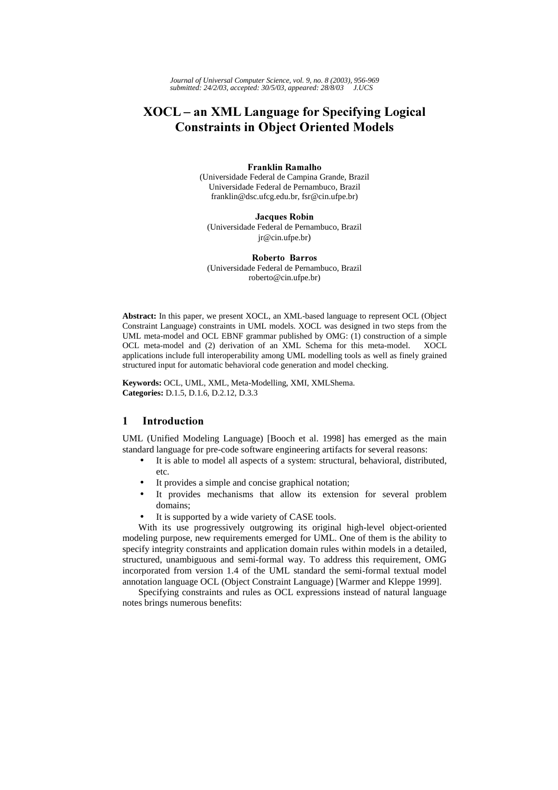# **XOCL-an XML Language for Specifying Logical Constraints in Object Oriented Models**

#### **Franklin Ramalho**

(Universidade Federal de Campina Grande, Brazil Universidade Federal de Pernambuco, Brazil franklin@dsc.ufcg.edu.br, fsr@cin.ufpe.br)

**Jacques Robin** (Universidade Federal de Pernambuco, Brazil jr@cin.ufpe.br)

Roberto Barros (Universidade Federal de Pernambuco, Brazil roberto@cin.ufpe.br)

**Abstract:** In this paper, we present XOCL, an XML-based language to represent OCL (Object Constraint Language) constraints in UML models. XOCL was designed in two steps from the UML meta-model and OCL EBNF grammar published by OMG: (1) construction of a simple OCL meta-model and (2) derivation of an XML Schema for this meta-model. XOCL applications include full interoperability among UML modelling tools as well as finely grained structured input for automatic behavioral code generation and model checking.

**Keywords:** OCL, UML, XML, Meta-Modelling, XMI, XMLShema. **Categories:** D.1.5, D.1.6, D.2.12, D.3.3

## 1 Introduction

UML (Unified Modeling Language) [Booch et al. 1998] has emerged as the main standard language for pre-code software engineering artifacts for several reasons:

- It is able to model all aspects of a system: structural, behavioral, distributed, etc.
- It provides a simple and concise graphical notation;
- It provides mechanisms that allow its extension for several problem domains;
- It is supported by a wide variety of CASE tools.

With its use progressively outgrowing its original high-level object-oriented modeling purpose, new requirements emerged for UML. One of them is the ability to specify integrity constraints and application domain rules within models in a detailed, structured, unambiguous and semi-formal way. To address this requirement, OMG incorporated from version 1.4 of the UML standard the semi-formal textual model annotation language OCL (Object Constraint Language) [Warmer and Kleppe 1999].

Specifying constraints and rules as OCL expressions instead of natural language notes brings numerous benefits: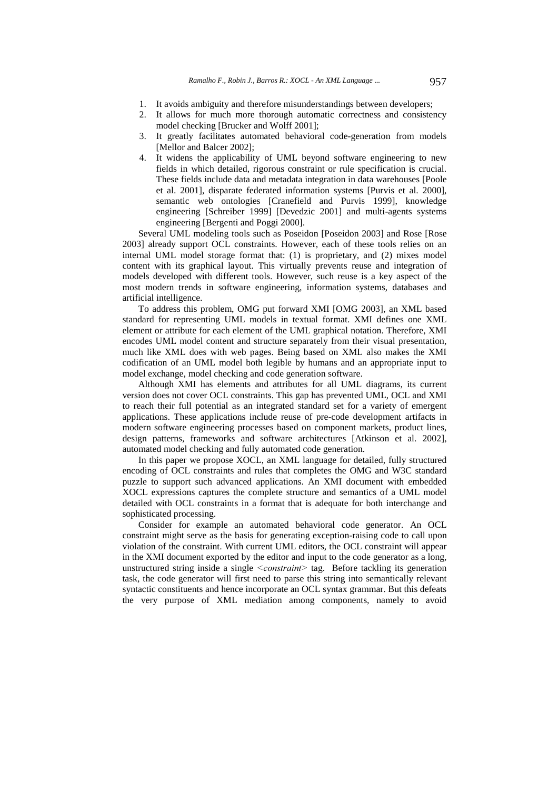- 1. It avoids ambiguity and therefore misunderstandings between developers;
- 2. It allows for much more thorough automatic correctness and consistency model checking [Brucker and Wolff 2001];
- 3. It greatly facilitates automated behavioral code-generation from models [Mellor and Balcer 2002];
- 4. It widens the applicability of UML beyond software engineering to new fields in which detailed, rigorous constraint or rule specification is crucial. These fields include data and metadata integration in data warehouses [Poole et al. 2001], disparate federated information systems [Purvis et al. 2000], semantic web ontologies [Cranefield and Purvis 1999], knowledge engineering [Schreiber 1999] [Devedzic 2001] and multi-agents systems engineering [Bergenti and Poggi 2000].

Several UML modeling tools such as Poseidon [Poseidon 2003] and Rose [Rose 2003] already support OCL constraints. However, each of these tools relies on an internal UML model storage format that: (1) is proprietary, and (2) mixes model content with its graphical layout. This virtually prevents reuse and integration of models developed with different tools. However, such reuse is a key aspect of the most modern trends in software engineering, information systems, databases and artificial intelligence.

To address this problem, OMG put forward XMI [OMG 2003], an XML based standard for representing UML models in textual format. XMI defines one XML element or attribute for each element of the UML graphical notation. Therefore, XMI encodes UML model content and structure separately from their visual presentation, much like XML does with web pages. Being based on XML also makes the XMI codification of an UML model both legible by humans and an appropriate input to model exchange, model checking and code generation software.

Although XMI has elements and attributes for all UML diagrams, its current version does not cover OCL constraints. This gap has prevented UML, OCL and XMI to reach their full potential as an integrated standard set for a variety of emergent applications. These applications include reuse of pre-code development artifacts in modern software engineering processes based on component markets, product lines, design patterns, frameworks and software architectures [Atkinson et al. 2002], automated model checking and fully automated code generation.

In this paper we propose XOCL, an XML language for detailed, fully structured encoding of OCL constraints and rules that completes the OMG and W3C standard puzzle to support such advanced applications. An XMI document with embedded XOCL expressions captures the complete structure and semantics of a UML model detailed with OCL constraints in a format that is adequate for both interchange and sophisticated processing.

Consider for example an automated behavioral code generator. An OCL constraint might serve as the basis for generating exception-raising code to call upon violation of the constraint. With current UML editors, the OCL constraint will appear in the XMI document exported by the editor and input to the code generator as a long, unstructured string inside a single  $\leq constant$  tag. Before tackling its generation task, the code generator will first need to parse this string into semantically relevant syntactic constituents and hence incorporate an OCL syntax grammar. But this defeats the very purpose of XML mediation among components, namely to avoid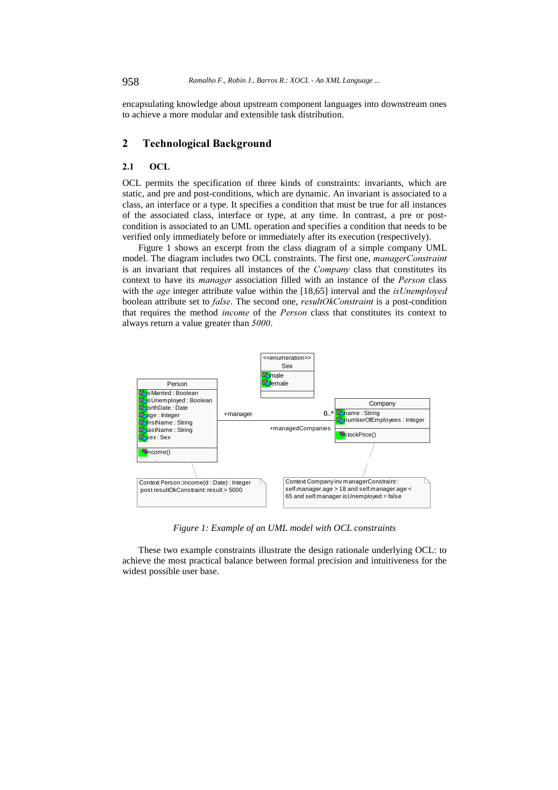encapsulating knowledge about upstream component languages into downstream ones to achieve a more modular and extensible task distribution.

# 2 Technological Background

#### $2.1$ **OCL**

OCL permits the specification of three kinds of constraints: invariants, which are static, and pre and post-conditions, which are dynamic. An invariant is associated to a class, an interface or a type. It specifies a condition that must be true for all instances of the associated class, interface or type, at any time. In contrast, a pre or postcondition is associated to an UML operation and specifies a condition that needs to be verified only immediately before or immediately after its execution (respectively).

Figure 1 shows an excerpt from the class diagram of a simple company UML model. The diagram includes two OCL constraints. The first one, *managerConstraint* is an invariant that requires all instances of the *Company* class that constitutes its context to have its *manager* association filled with an instance of the *Person* class with the *age* integer attribute value within the  $[18,65]$  interval and the *is Unemployed* boolean attribute set to *false*. The second one, *resultOkConstraint* is a post-condition that requires the method *income* of the *Person* class that constitutes its context to always return a value greater than  $5000$ .



*Figure 1: Example of an UML model with OCL constraints* 

These two example constraints illustrate the design rationale underlying OCL: to achieve the most practical balance between formal precision and intuitiveness for the widest possible user base.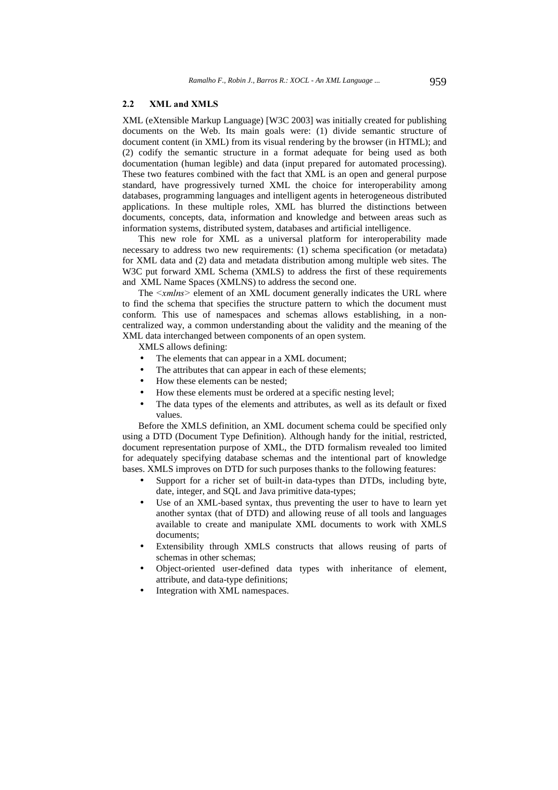#### 2.2 XML and XMLS

XML (eXtensible Markup Language) [W3C 2003] was initially created for publishing documents on the Web. Its main goals were: (1) divide semantic structure of document content (in XML) from its visual rendering by the browser (in HTML); and (2) codify the semantic structure in a format adequate for being used as both documentation (human legible) and data (input prepared for automated processing). These two features combined with the fact that XML is an open and general purpose standard, have progressively turned XML the choice for interoperability among databases, programming languages and intelligent agents in heterogeneous distributed applications. In these multiple roles, XML has blurred the distinctions between documents, concepts, data, information and knowledge and between areas such as information systems, distributed system, databases and artificial intelligence.

This new role for XML as a universal platform for interoperability made necessary to address two new requirements: (1) schema specification (or metadata) for XML data and (2) data and metadata distribution among multiple web sites. The W3C put forward XML Schema (XMLS) to address the first of these requirements and XML Name Spaces (XMLNS) to address the second one.

The  $\leq$ xmlns> element of an XML document generally indicates the URL where to find the schema that specifies the structure pattern to which the document must conform. This use of namespaces and schemas allows establishing, in a noncentralized way, a common understanding about the validity and the meaning of the XML data interchanged between components of an open system.

XMLS allows defining:

- The elements that can appear in a XML document;
- The attributes that can appear in each of these elements;
- How these elements can be nested;
- How these elements must be ordered at a specific nesting level;
- The data types of the elements and attributes, as well as its default or fixed values.

Before the XMLS definition, an XML document schema could be specified only using a DTD (Document Type Definition). Although handy for the initial, restricted, document representation purpose of XML, the DTD formalism revealed too limited for adequately specifying database schemas and the intentional part of knowledge bases. XMLS improves on DTD for such purposes thanks to the following features:

- Support for a richer set of built-in data-types than DTDs, including byte, date, integer, and SQL and Java primitive data-types;
- Use of an XML-based syntax, thus preventing the user to have to learn yet another syntax (that of DTD) and allowing reuse of all tools and languages available to create and manipulate XML documents to work with XMLS documents;
- Extensibility through XMLS constructs that allows reusing of parts of schemas in other schemas;
- Object-oriented user-defined data types with inheritance of element, attribute, and data-type definitions;
- Integration with XML namespaces.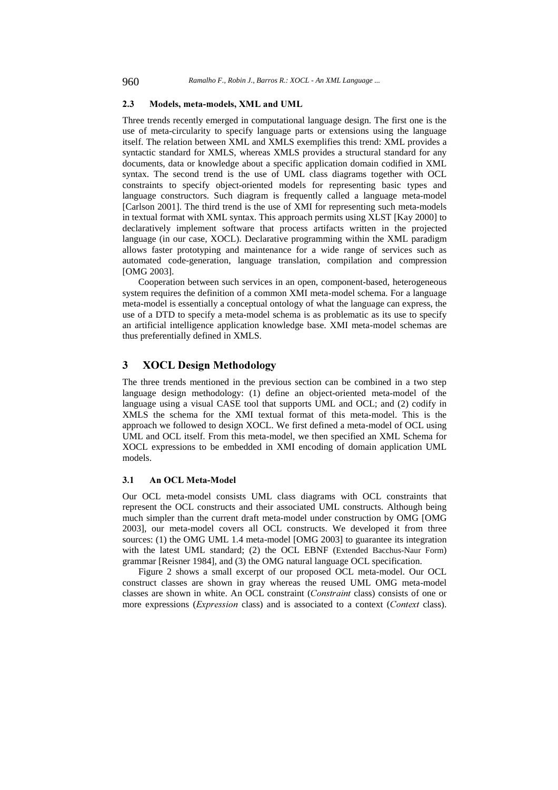#### 2.3 Models, meta-models, XML and UML

Three trends recently emerged in computational language design. The first one is the use of meta-circularity to specify language parts or extensions using the language itself. The relation between XML and XMLS exemplifies this trend: XML provides a syntactic standard for XMLS, whereas XMLS provides a structural standard for any documents, data or knowledge about a specific application domain codified in XML syntax. The second trend is the use of UML class diagrams together with OCL constraints to specify object-oriented models for representing basic types and language constructors. Such diagram is frequently called a language meta-model [Carlson 2001]. The third trend is the use of XMI for representing such meta-models in textual format with XML syntax. This approach permits using XLST [Kay 2000] to declaratively implement software that process artifacts written in the projected language (in our case, XOCL). Declarative programming within the XML paradigm allows faster prototyping and maintenance for a wide range of services such as automated code-generation, language translation, compilation and compression [OMG 2003].

Cooperation between such services in an open, component-based, heterogeneous system requires the definition of a common XMI meta-model schema. For a language meta-model is essentially a conceptual ontology of what the language can express, the use of a DTD to specify a meta-model schema is as problematic as its use to specify an artificial intelligence application knowledge base. XMI meta-model schemas are thus preferentially defined in XMLS.

# 3 XOCL Design Methodology

The three trends mentioned in the previous section can be combined in a two step language design methodology: (1) define an object-oriented meta-model of the language using a visual CASE tool that supports UML and OCL; and (2) codify in XMLS the schema for the XMI textual format of this meta-model. This is the approach we followed to design XOCL. We first defined a meta-model of OCL using UML and OCL itself. From this meta-model, we then specified an XML Schema for XOCL expressions to be embedded in XMI encoding of domain application UML models.

#### 3.1 An OCL Meta-Model

Our OCL meta-model consists UML class diagrams with OCL constraints that represent the OCL constructs and their associated UML constructs. Although being much simpler than the current draft meta-model under construction by OMG [OMG 2003], our meta-model covers all OCL constructs. We developed it from three sources: (1) the OMG UML 1.4 meta-model [OMG 2003] to guarantee its integration with the latest UML standard; (2) the OCL EBNF (Extended Bacchus-Naur Form) grammar [Reisner 1984], and (3) the OMG natural language OCL specification.

Figure 2 shows a small excerpt of our proposed OCL meta-model. Our OCL construct classes are shown in gray whereas the reused UML OMG meta-model classes are shown in white. An OCL constraint (*Constraint* class) consists of one or more expressions (*Expression* class) and is associated to a context (*Context* class).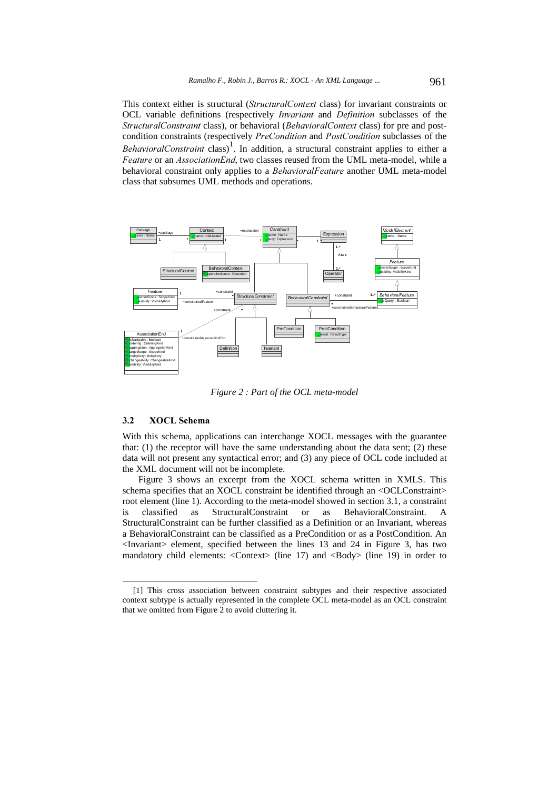This context either is structural (StructuralContext class) for invariant constraints or OCL variable definitions (respectively *Invariant* and *Definition* subclasses of the Structural Constraint class), or behavioral (Behavioral Context class) for pre and postcondition constraints (respectively PreCondition and PostCondition subclasses of the BehavioralConstraint class)<sup>1</sup>. In addition, a structural constraint applies to either a Feature or an AssociationEnd, two classes reused from the UML meta-model, while a behavioral constraint only applies to a *BehavioralFeature* another UML meta-model class that subsumes UML methods and operations.



*Figure 2 : Part of the OCL meta-model* 

#### 3.2 XOCL Schema

 $\overline{a}$ 

With this schema, applications can interchange XOCL messages with the guarantee that: (1) the receptor will have the same understanding about the data sent; (2) these data will not present any syntactical error; and (3) any piece of OCL code included at the XML document will not be incomplete.

Figure 3 shows an excerpt from the XOCL schema written in XMLS. This schema specifies that an XOCL constraint be identified through an <OCLConstraint> root element (line 1). According to the meta-model showed in section 3.1, a constraint is classified as StructuralConstraint or as BehavioralConstraint. A StructuralConstraint can be further classified as a Definition or an Invariant, whereas a BehavioralConstraint can be classified as a PreCondition or as a PostCondition. An <Invariant> element, specified between the lines 13 and 24 in Figure 3, has two mandatory child elements:  $\langle$ Context $\rangle$  (line 17) and  $\langle$ Body $\rangle$  (line 19) in order to

<sup>[1]</sup> This cross association between constraint subtypes and their respective associated context subtype is actually represented in the complete OCL meta-model as an OCL constraint that we omitted from Figure 2 to avoid cluttering it.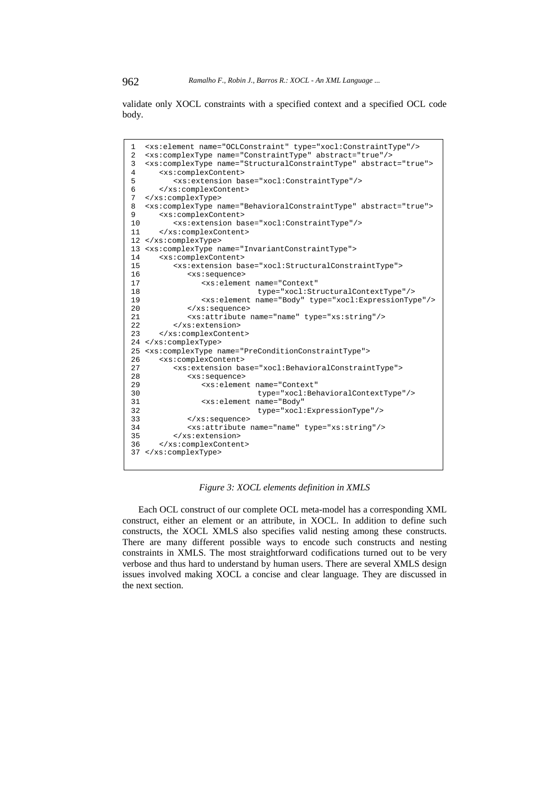validate only XOCL constraints with a specified context and a specified OCL code body.

| 1               | <xs:element name="OCLConstraint" type="xocl:ConstraintType"></xs:element>         |
|-----------------|-----------------------------------------------------------------------------------|
| 2               | <xs:complextype abstract="true" name="ConstraintType"></xs:complextype>           |
| $\overline{3}$  | <xs:complextype abstract="true" name="StructuralConstraintType"></xs:complextype> |
| 4               | <xs:complexcontent></xs:complexcontent>                                           |
| 5               | <xs:extension base="xocl:ConstraintType"></xs:extension>                          |
| 6               |                                                                                   |
| 7               |                                                                                   |
| 8               | <xs:complextype abstract="true" name="BehavioralConstraintType"></xs:complextype> |
| 9               | <xs:complexcontent></xs:complexcontent>                                           |
| 10              | <xs:extension base="xocl:ConstraintType"></xs:extension>                          |
| 11              |                                                                                   |
|                 | 12                                                                                |
| 13 <sup>1</sup> | <xs:complextype name="InvariantConstraintType"></xs:complextype>                  |
| 14              | <xs:complexcontent></xs:complexcontent>                                           |
| 15              | <xs:extension base="xocl:StructuralConstraintType"></xs:extension>                |
| 16              | <xs:sequence></xs:sequence>                                                       |
| 17              | <xs:element <="" name="Context" td=""></xs:element>                               |
| 18              | type="xocl:StructuralContextType"/>                                               |
| 19              | <xs:element name="Body" type="xocl:ExpressionType"></xs:element>                  |
| 20              |                                                                                   |
| 21              | <xs:attribute name="name" type="xs:string"></xs:attribute>                        |
| 22              |                                                                                   |
| 23              |                                                                                   |
| 24              |                                                                                   |
| 25              | <xs:complextype name="PreConditionConstraintType"></xs:complextype>               |
| 26              | <xs:complexcontent></xs:complexcontent>                                           |
| 27              | <xs:extension base="xocl:BehavioralConstraintType"></xs:extension>                |
| 28              | <xs:sequence></xs:sequence>                                                       |
| 29              | <xs:element <="" name="Context" td=""></xs:element>                               |
| 30              | type="xocl:BehavioralContextType"/>                                               |
| 31              | <xs:element <="" name="Body" td=""></xs:element>                                  |
| 32              | type="xocl:ExpressionType"/>                                                      |
| 33              | $\langle x s : \text{sequence} \rangle$                                           |
| 34              | <xs:attribute name="name" type="xs:string"></xs:attribute>                        |
| 35              |                                                                                   |
| 36              |                                                                                   |
|                 | 37                                                                                |
|                 |                                                                                   |

*Figure 3: XOCL elements definition in XMLS* 

Each OCL construct of our complete OCL meta-model has a corresponding XML construct, either an element or an attribute, in XOCL. In addition to define such constructs, the XOCL XMLS also specifies valid nesting among these constructs. There are many different possible ways to encode such constructs and nesting constraints in XMLS. The most straightforward codifications turned out to be very verbose and thus hard to understand by human users. There are several XMLS design issues involved making XOCL a concise and clear language. They are discussed in the next section.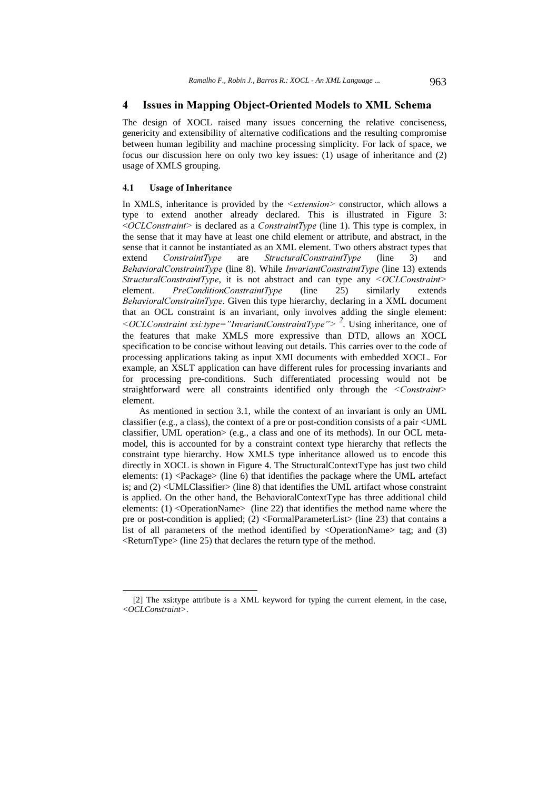# 4 Issues in Mapping Object-Oriented Models to XML Schema

The design of XOCL raised many issues concerning the relative conciseness, genericity and extensibility of alternative codifications and the resulting compromise between human legibility and machine processing simplicity. For lack of space, we focus our discussion here on only two key issues: (1) usage of inheritance and (2) usage of XMLS grouping.

#### 4.1 Usage of Inheritance

 $\overline{a}$ 

In XMLS, inheritance is provided by the  $\leq$ extension $\geq$  constructor, which allows a type to extend another already declared. This is illustrated in Figure 3: < $OCLConstraint$  is declared as a *ConstraintType* (line 1). This type is complex, in the sense that it may have at least one child element or attribute, and abstract, in the sense that it cannot be instantiated as an XML element. Two others abstract types that extend *ConstraintType* are StructuralConstraintType (line 3) and BehavioralConstraintType (line 8). While InvariantConstraintType (line 13) extends StructuralConstraintType, it is not abstract and can type any <OCLConstraint> element. *PreConditionConstraintType* (line 25) similarly extends BehavioralConstraitnType. Given this type hierarchy, declaring in a XML document that an OCL constraint is an invariant, only involves adding the single element: <*OCLConstraint xsi:type*="InvariantConstraintType">  $^2$ . Using inheritance, one of the features that make XMLS more expressive than DTD, allows an XOCL specification to be concise without leaving out details. This carries over to the code of processing applications taking as input XMI documents with embedded XOCL. For example, an XSLT application can have different rules for processing invariants and for processing pre-conditions. Such differentiated processing would not be straightforward were all constraints identified only through the <Constraint> element.

As mentioned in section 3.1, while the context of an invariant is only an UML classifier (e.g., a class), the context of a pre or post-condition consists of a pair <UML classifier, UML operation> (e.g., a class and one of its methods). In our OCL metamodel, this is accounted for by a constraint context type hierarchy that reflects the constraint type hierarchy. How XMLS type inheritance allowed us to encode this directly in XOCL is shown in Figure 4. The StructuralContextType has just two child elements:  $(1)$  <Package> (line 6) that identifies the package where the UML artefact is; and (2) <UMLClassifier> (line 8) that identifies the UML artifact whose constraint is applied. On the other hand, the BehavioralContextType has three additional child elements: (1) <OperationName> (line 22) that identifies the method name where the pre or post-condition is applied; (2) <FormalParameterList> (line 23) that contains a list of all parameters of the method identified by  $\langle$ OperationName $\rangle$  tag; and (3)  $\leq$ ReturnType $\geq$  (line 25) that declares the return type of the method.

<sup>[2]</sup> The xsi:type attribute is a XML keyword for typing the current element, in the case, *<OCLConstraint>*.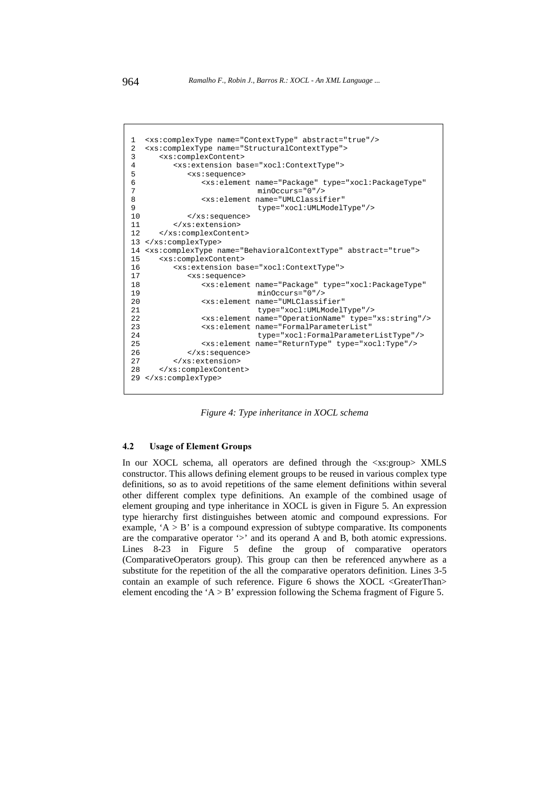```
1 <xs:complexType name="ContextType" abstract="true"/> 
2 <xs:complexType name="StructuralContextType"> 
      3 <xs:complexContent> 
4 <xs:extension base="xocl:ContextType"> 
5 <xs:sequence><br>6 <xs:elemen
6 <xs:element name="Package" type="xocl:PackageType" 
7 minOccurs="0"/><br>8 <xs:element name="UMLClassif
               8 <xs:element name="UMLClassifier" 
9 type="xocl:UMLModelType"/> 
            10 </xs:sequence> 
11 \epsilon/ye:extension>
12 </xs:complexContent>
13 </xs:complexType> 
14 <xs:complexType name="BehavioralContextType" abstract="true"> 
15 <xs:complexContent> 
16 <xs:extension base="xocl:ContextType"> 
17 <xs:sequence><br>18 <xs:elemen
               18 <xs:element name="Package" type="xocl:PackageType" 
19 minOccurs="0"/> 
20 <xs:element name="UMLClassifier" 
21 type="xocl:UMLModelType"/> 
22 <xs:element name="OperationName" type="xs:string"/><br>23 <xs:element name="FormalParameterList"
               23 <xs:element name="FormalParameterList" 
24 type="xocl:FormalParameterListType"/> 
25 <xs:element name="ReturnType" type="xocl:Type"/><br>26 </xs:sequence>
            26 </xs:sequence> 
27 </xs:extension> 
28 </xs:complexContent> 
29 </xs:complexType>
```
*Figure 4: Type inheritance in XOCL schema* 

#### 4.2 Usage of Element Groups

In our XOCL schema, all operators are defined through the  $\langle x \rangle$  strongs XMLS constructor. This allows defining element groups to be reused in various complex type definitions, so as to avoid repetitions of the same element definitions within several other different complex type definitions. An example of the combined usage of element grouping and type inheritance in XOCL is given in Figure 5. An expression type hierarchy first distinguishes between atomic and compound expressions. For example, ' $A > B$ ' is a compound expression of subtype comparative. Its components are the comparative operator '>' and its operand A and B, both atomic expressions. Lines 8-23 in Figure 5 define the group of comparative operators (ComparativeOperators group). This group can then be referenced anywhere as a substitute for the repetition of the all the comparative operators definition. Lines 3-5 contain an example of such reference. Figure 6 shows the XOCL <GreaterThan> element encoding the 'A  $>$  B' expression following the Schema fragment of Figure 5.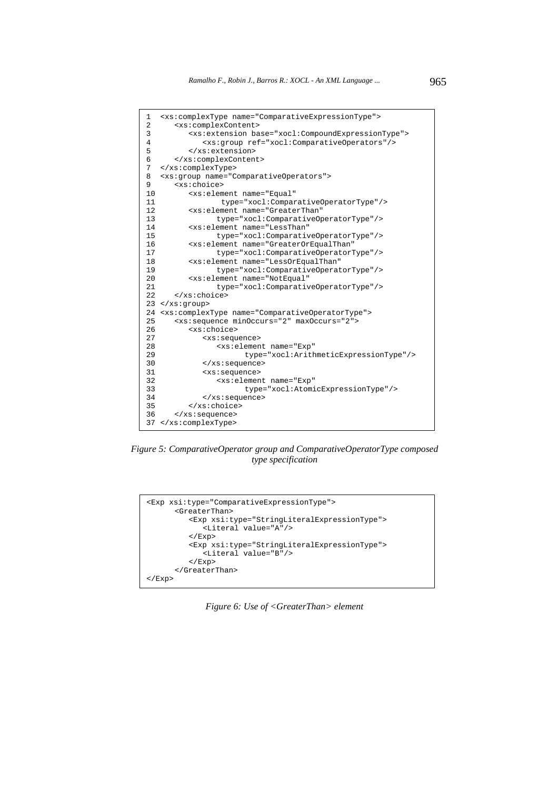

*Figure 5: ComparativeOperator group and ComparativeOperatorType composed type specification* 



*Figure 6: Use of <GreaterThan> element*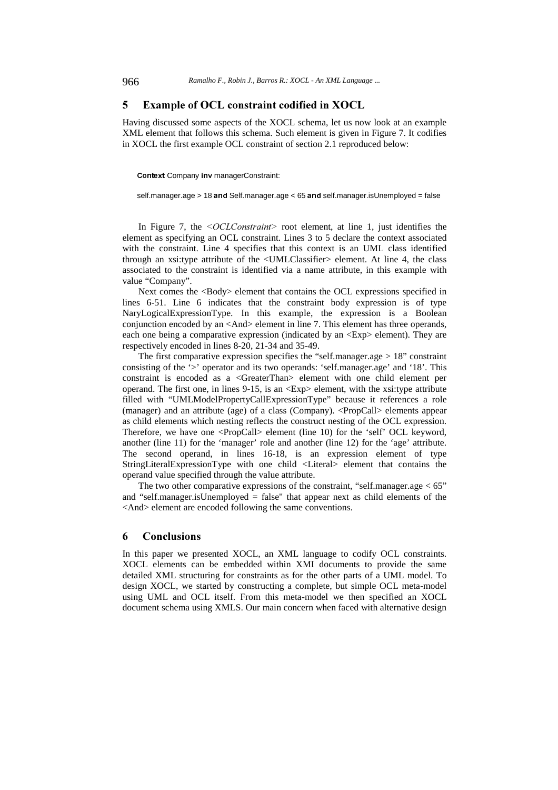# 5 Example of OCL constraint codified in XOCL

Having discussed some aspects of the XOCL schema, let us now look at an example XML element that follows this schema. Such element is given in Figure 7. It codifies in XOCL the first example OCL constraint of section 2.1 reproduced below:

Context Company inv managerConstraint:

self.manager.age > 18 and Self.manager.age < 65 and self.manager.isUnemployed = false

In Figure 7, the  $\leq OCLConstraint$  root element, at line 1, just identifies the element as specifying an OCL constraint. Lines 3 to 5 declare the context associated with the constraint. Line 4 specifies that this context is an UML class identified through an xsi:type attribute of the <UMLClassifier> element. At line 4, the class associated to the constraint is identified via a name attribute, in this example with value "Company".

Next comes the <Body> element that contains the OCL expressions specified in lines 6-51. Line 6 indicates that the constraint body expression is of type NaryLogicalExpressionType. In this example, the expression is a Boolean conjunction encoded by an <And> element in line 7. This element has three operands, each one being a comparative expression (indicated by an <Exp> element). They are respectively encoded in lines 8-20, 21-34 and 35-49.

The first comparative expression specifies the "self.manager.age  $> 18$ " constraint consisting of the '>' operator and its two operands: 'self.manager.age' and '18'. This constraint is encoded as a <GreaterThan> element with one child element per operand. The first one, in lines 9-15, is an <Exp> element, with the xsi:type attribute filled with "UMLModelPropertyCallExpressionType" because it references a role (manager) and an attribute (age) of a class (Company). <PropCall> elements appear as child elements which nesting reflects the construct nesting of the OCL expression. Therefore, we have one <PropCall> element (line 10) for the 'self' OCL keyword, another (line 11) for the 'manager' role and another (line 12) for the 'age' attribute. The second operand, in lines 16-18, is an expression element of type StringLiteralExpressionType with one child <Literal> element that contains the operand value specified through the value attribute.

The two other comparative expressions of the constraint, "self.manager.age  $< 65$ " and "self.manager.isUnemployed = false" that appear next as child elements of the <And> element are encoded following the same conventions.

#### 6 Conclusions

In this paper we presented XOCL, an XML language to codify OCL constraints. XOCL elements can be embedded within XMI documents to provide the same detailed XML structuring for constraints as for the other parts of a UML model. To design XOCL, we started by constructing a complete, but simple OCL meta-model using UML and OCL itself. From this meta-model we then specified an XOCL document schema using XMLS. Our main concern when faced with alternative design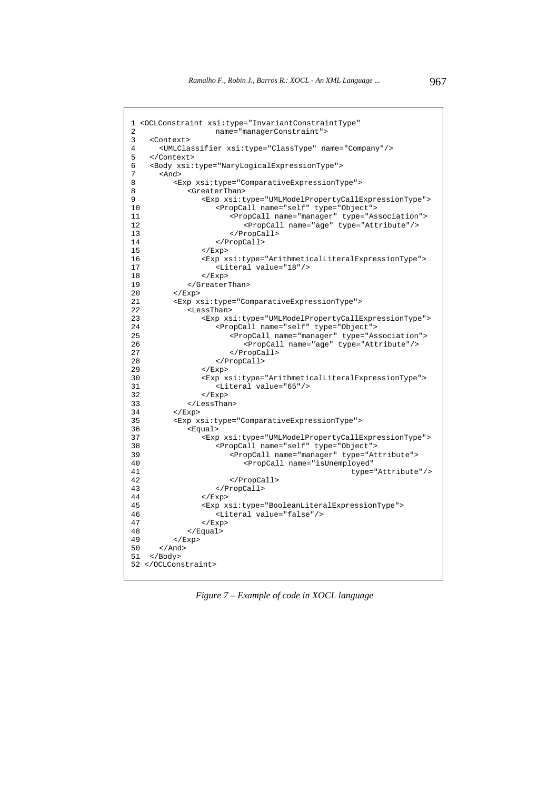```
1 <OCLConstraint xsi:type="InvariantConstraintType" 
2 name="managerConstraint"><br>3 <Context>
    3 <Context> 
4 <UMLClassifier xsi:type="ClassType" name="Company"/> 
5 </Context><br>6 <Body xsi:
6 <Body xsi:type="NaryLogicalExpressionType"> 
7 <And><br>8 <F
8 <Exp xsi:type="ComparativeExpressionType"> 
8 <GreaterThan><br>9 <GreaterThan>
9 <Exp xsi:type="UMLModelPropertyCallExpressionType"><br>10 <PropCall name="self" type="Object">
                    10 <PropCall name="self" type="Object"> 
11 <PropCall name="manager" type="Association"> 
12 <PropCall name="age" type="Attribute"/>
(2) </PropCall>
13 </PropCall><br>14 </PropCall>
14 </PropCall><br>15 </Exp>
                 \langle Exp>
16 <Exp xsi:type="ArithmeticalLiteralExpressionType"> 
17 <Literal value="18"/>
(Exp>
18
18 \langleExp><br>19 \langle/Greater
              19 </GreaterThan> 
20 </Exp> 
21 <Exp xsi:type="ComparativeExpressionType"> 
22 <LessThan> 
23 <Exp xsi:type="UMLModelPropertyCallExpressionType"> 
24 <PropCall name="self" type="Object"> 
25 \text{Propcall name} = \text{"image"} \quad \text{type} = \text{"Association"}<br>
26 \text{Propcall name} = \text{"range"} \quad \text{type} = \text{"Atxibute"}26 <PropCall name="age" type="Attribute"/> 
                        27 </PropCall> 
28 </PropCall> 
29 \langle Exp>
30 <Exp xsi:type="ArithmeticalLiteralExpressionType"><br>31 <Literal value="65"/>
31 <br/>
<Literal value="65"/>
</br/>
</br/>
</br/>
</br/>
</br/>
</br/>
</br/>
</br/>
</br/>
</br/>
</br/>
</br/>
</br/>
</br/>
</br/>
</br/>
</br/>
</br/>
</br/>
</br/>
</br/>
</br/>
</br/>
</br/>
</br/>
</br/>
</br/>
</
                 \langle Exp>
33 </LessThan> 
34 </Exp> 
35 <Exp xsi:type="ComparativeExpressionType"> 
36 <Equal><br>37 <Exp
                 37 <Exp xsi:type="UMLModelPropertyCallExpressionType"> 
38 <PropCall name="self" type="Object"> 
39 <PropCall name="manager" type="Attribute"> 
                           40 <PropCall name="isUnemployed" 
41 type="Attribute"/> 
42 </PropCall> 
43 </PropCall></PropCall>
44 \langle Exp><br>45 \langle Exp x
                 45 <Exp xsi:type="BooleanLiteralExpressionType"> 
46 <Literal value="false"/> 
47 \langle Exp><br>48 \langle Equal>
48 </Equal><br>49 </Exp>
49 \lt/\text{Exp}<br>50 \lt/\text{And}\langleAnd>
51 </Body> 
52 </OCLConstraint>
```
*Figure 7 – Example of code in XOCL language*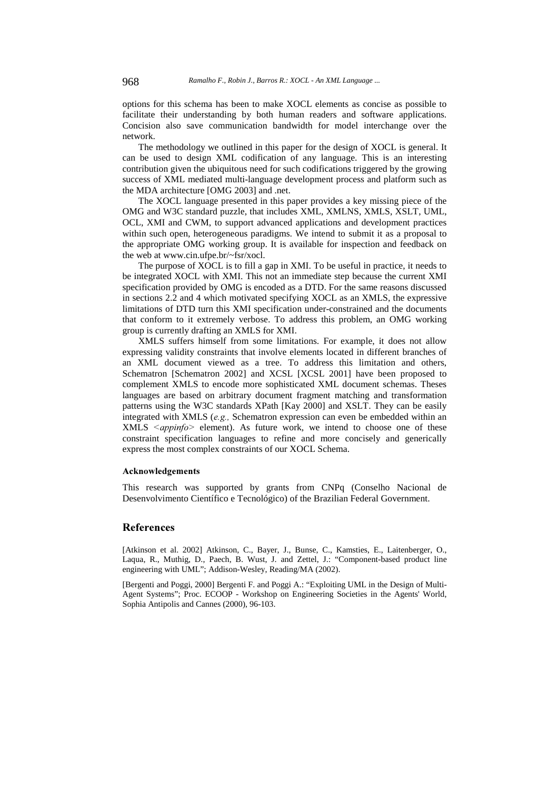options for this schema has been to make XOCL elements as concise as possible to facilitate their understanding by both human readers and software applications. Concision also save communication bandwidth for model interchange over the network.

The methodology we outlined in this paper for the design of XOCL is general. It can be used to design XML codification of any language. This is an interesting contribution given the ubiquitous need for such codifications triggered by the growing success of XML mediated multi-language development process and platform such as the MDA architecture [OMG 2003] and .net.

The XOCL language presented in this paper provides a key missing piece of the OMG and W3C standard puzzle, that includes XML, XMLNS, XMLS, XSLT, UML, OCL, XMI and CWM, to support advanced applications and development practices within such open, heterogeneous paradigms. We intend to submit it as a proposal to the appropriate OMG working group. It is available for inspection and feedback on the web at www.cin.ufpe.br/~fsr/xocl.

The purpose of XOCL is to fill a gap in XMI. To be useful in practice, it needs to be integrated XOCL with XMI. This not an immediate step because the current XMI specification provided by OMG is encoded as a DTD. For the same reasons discussed in sections 2.2 and 4 which motivated specifying XOCL as an XMLS, the expressive limitations of DTD turn this XMI specification under-constrained and the documents that conform to it extremely verbose. To address this problem, an OMG working group is currently drafting an XMLS for XMI.

XMLS suffers himself from some limitations. For example, it does not allow expressing validity constraints that involve elements located in different branches of an XML document viewed as a tree. To address this limitation and others, Schematron [Schematron 2002] and XCSL [XCSL 2001] have been proposed to complement XMLS to encode more sophisticated XML document schemas. Theses languages are based on arbitrary document fragment matching and transformation patterns using the W3C standards XPath [Kay 2000] and XSLT. They can be easily integrated with XMLS ( $e.g.,$  Schematron expression can even be embedded within an  $XMLS \leq appinfo$  element). As future work, we intend to choose one of these constraint specification languages to refine and more concisely and generically express the most complex constraints of our XOCL Schema.

#### **Acknowledgements**

This research was supported by grants from CNPq (Conselho Nacional de Desenvolvimento Científico e Tecnológico) of the Brazilian Federal Government.

### **References**

[Atkinson et al. 2002] Atkinson, C., Bayer, J., Bunse, C., Kamsties, E., Laitenberger, O., Laqua, R., Muthig, D., Paech, B. Wust, J. and Zettel, J.: "Component-based product line engineering with UML"; Addison-Wesley, Reading/MA (2002).

[Bergenti and Poggi, 2000] Bergenti F. and Poggi A.: "Exploiting UML in the Design of Multi-Agent Systems"; Proc. ECOOP - Workshop on Engineering Societies in the Agents' World, Sophia Antipolis and Cannes (2000), 96-103.